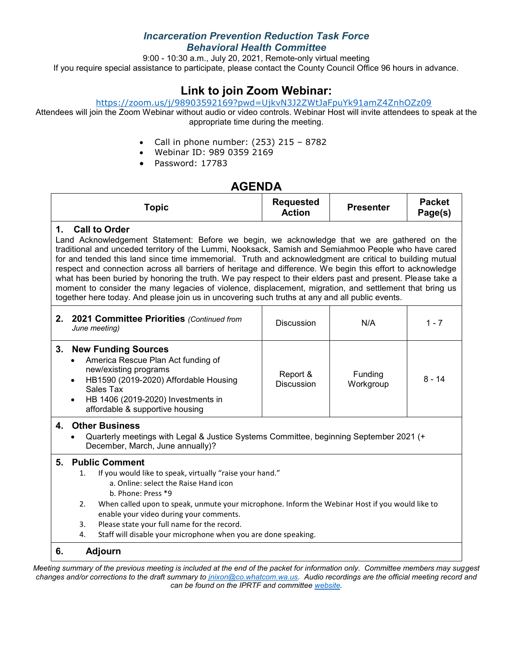### *Incarceration Prevention Reduction Task Force Behavioral Health Committee*

9:00 - 10:30 a.m., July 20, 2021, Remote-only virtual meeting If you require special assistance to participate, please contact the County Council Office 96 hours in advance.

# **Link to join Zoom Webinar:**

#### <https://zoom.us/j/98903592169?pwd=UjkvN3J2ZWtJaFpuYk91amZ4ZnhOZz09>

Attendees will join the Zoom Webinar without audio or video controls. Webinar Host will invite attendees to speak at the appropriate time during the meeting.

- Call in phone number: (253) 215 8782
- Webinar ID: 989 0359 2169
- Password: 17783

## **AGENDA**

| Topic | <b>Requested</b><br>Action | <b>Presenter</b> | <b>Packet</b><br>Page(s) |
|-------|----------------------------|------------------|--------------------------|
|       |                            |                  |                          |

#### **1. Call to Order**

Land Acknowledgement Statement: Before we begin, we acknowledge that we are gathered on the traditional and unceded territory of the Lummi, Nooksack, Samish and Semiahmoo People who have cared for and tended this land since time immemorial. Truth and acknowledgment are critical to building mutual respect and connection across all barriers of heritage and difference. We begin this effort to acknowledge what has been buried by honoring the truth. We pay respect to their elders past and present. Please take a moment to consider the many legacies of violence, displacement, migration, and settlement that bring us together here today. And please join us in uncovering such truths at any and all public events.

|    | 2. 2021 Committee Priorities (Continued from<br>June meeting)                                                                                                                                                                                                   | <b>Discussion</b>             | N/A                  | 1 - 7    |
|----|-----------------------------------------------------------------------------------------------------------------------------------------------------------------------------------------------------------------------------------------------------------------|-------------------------------|----------------------|----------|
| 3. | <b>New Funding Sources</b><br>America Rescue Plan Act funding of<br>$\bullet$<br>new/existing programs<br>HB1590 (2019-2020) Affordable Housing<br>$\bullet$<br>Sales Tax<br>HB 1406 (2019-2020) Investments in<br>$\bullet$<br>affordable & supportive housing | Report &<br><b>Discussion</b> | Funding<br>Workgroup | $8 - 14$ |

#### **4. Other Business**

• Quarterly meetings with Legal & Justice Systems Committee, beginning September 2021 (+ December, March, June annually)?

#### **5. Public Comment**

- 1. If you would like to speak, virtually "raise your hand."
	- a. Online: select the Raise Hand icon
	- b. Phone: Press \*9
- 2. When called upon to speak, unmute your microphone. Inform the Webinar Host if you would like to enable your video during your comments.
- 3. Please state your full name for the record.
- 4. Staff will disable your microphone when you are done speaking.

### **6. Adjourn**

*Meeting summary of the previous meeting is included at the end of the packet for information only. Committee members may suggest changes and/or corrections to the draft summary to [jnixon@co.whatcom.wa.us.](mailto:jnixon@co.whatcom.wa.us) Audio recordings are the official meeting record and can be found on the IPRTF and committe[e website.](http://www.co.whatcom.wa.us/2052/Incarceration-Prevention-and-Reduction-T)*